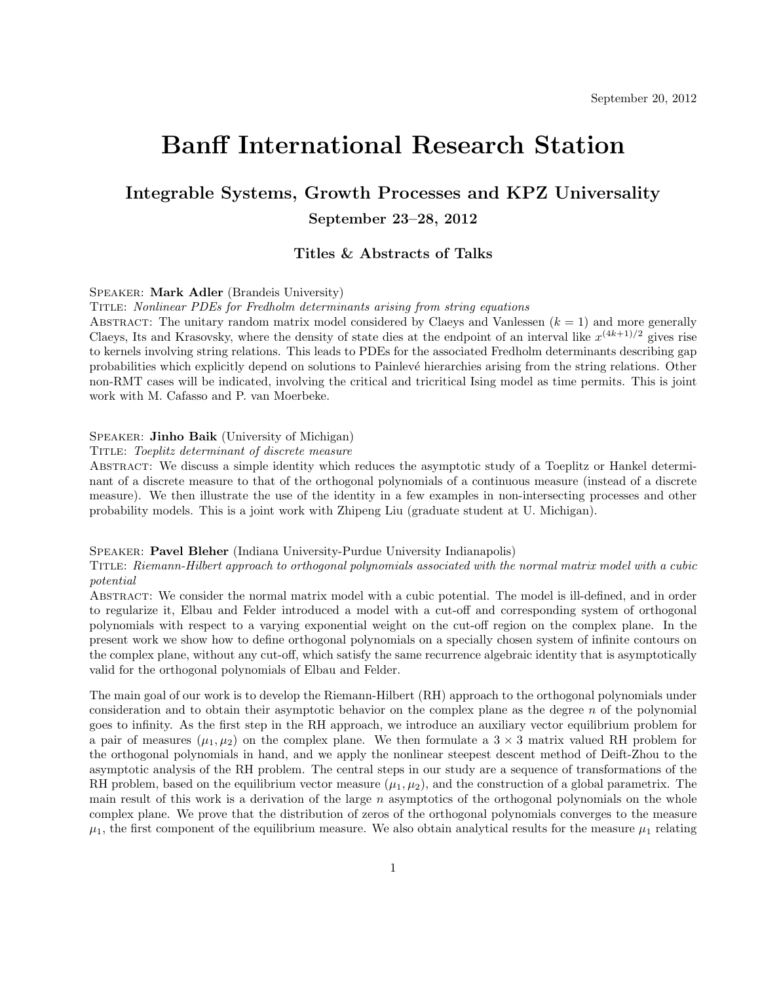# Banff International Research Station

## Integrable Systems, Growth Processes and KPZ Universality September 23–28, 2012

## Titles & Abstracts of Talks

## Speaker: Mark Adler (Brandeis University)

Title: Nonlinear PDEs for Fredholm determinants arising from string equations

ABSTRACT: The unitary random matrix model considered by Claeys and Vanlessen  $(k = 1)$  and more generally Claeys, Its and Krasovsky, where the density of state dies at the endpoint of an interval like  $x^{(4k+1)/2}$  gives rise to kernels involving string relations. This leads to PDEs for the associated Fredholm determinants describing gap probabilities which explicitly depend on solutions to Painlevé hierarchies arising from the string relations. Other non-RMT cases will be indicated, involving the critical and tricritical Ising model as time permits. This is joint work with M. Cafasso and P. van Moerbeke.

## Speaker: Jinho Baik (University of Michigan)

#### Title: Toeplitz determinant of discrete measure

Abstract: We discuss a simple identity which reduces the asymptotic study of a Toeplitz or Hankel determinant of a discrete measure to that of the orthogonal polynomials of a continuous measure (instead of a discrete measure). We then illustrate the use of the identity in a few examples in non-intersecting processes and other probability models. This is a joint work with Zhipeng Liu (graduate student at U. Michigan).

#### Speaker: Pavel Bleher (Indiana University-Purdue University Indianapolis)

Title: Riemann-Hilbert approach to orthogonal polynomials associated with the normal matrix model with a cubic potential

Abstract: We consider the normal matrix model with a cubic potential. The model is ill-defined, and in order to regularize it, Elbau and Felder introduced a model with a cut-off and corresponding system of orthogonal polynomials with respect to a varying exponential weight on the cut-off region on the complex plane. In the present work we show how to define orthogonal polynomials on a specially chosen system of infinite contours on the complex plane, without any cut-off, which satisfy the same recurrence algebraic identity that is asymptotically valid for the orthogonal polynomials of Elbau and Felder.

The main goal of our work is to develop the Riemann-Hilbert (RH) approach to the orthogonal polynomials under consideration and to obtain their asymptotic behavior on the complex plane as the degree n of the polynomial goes to infinity. As the first step in the RH approach, we introduce an auxiliary vector equilibrium problem for a pair of measures  $(\mu_1, \mu_2)$  on the complex plane. We then formulate a  $3 \times 3$  matrix valued RH problem for the orthogonal polynomials in hand, and we apply the nonlinear steepest descent method of Deift-Zhou to the asymptotic analysis of the RH problem. The central steps in our study are a sequence of transformations of the RH problem, based on the equilibrium vector measure  $(\mu_1, \mu_2)$ , and the construction of a global parametrix. The main result of this work is a derivation of the large  $n$  asymptotics of the orthogonal polynomials on the whole complex plane. We prove that the distribution of zeros of the orthogonal polynomials converges to the measure  $\mu_1$ , the first component of the equilibrium measure. We also obtain analytical results for the measure  $\mu_1$  relating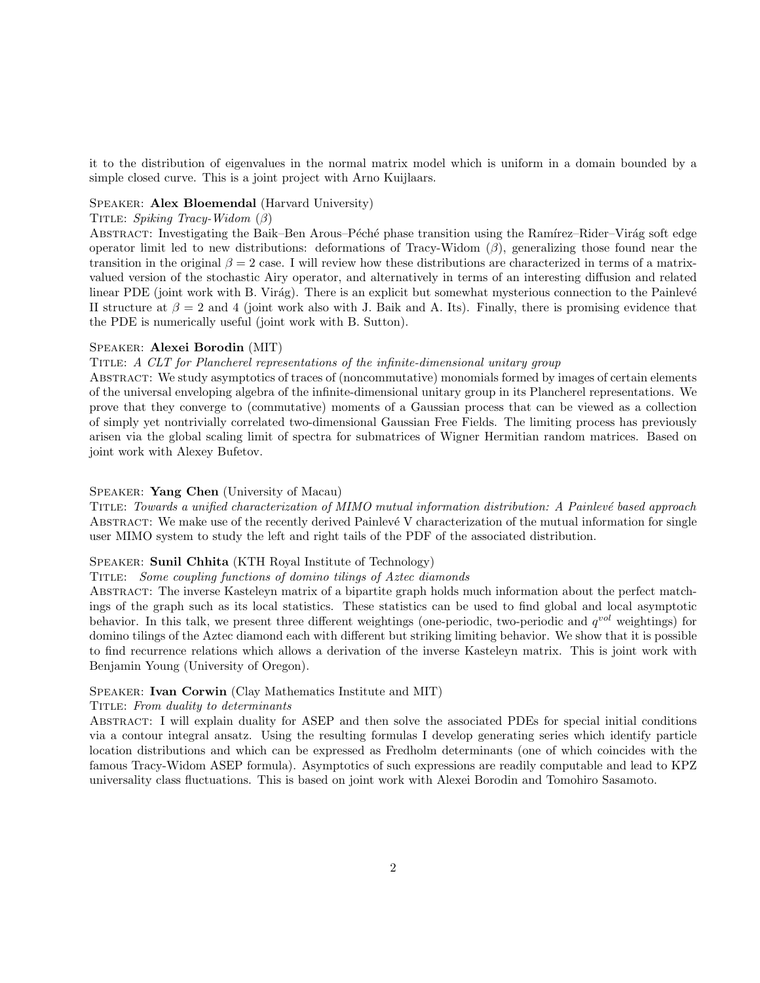it to the distribution of eigenvalues in the normal matrix model which is uniform in a domain bounded by a simple closed curve. This is a joint project with Arno Kuijlaars.

#### Speaker: Alex Bloemendal (Harvard University)

#### TITLE: Spiking Tracy-Widom  $(\beta)$

ABSTRACT: Investigating the Baik–Ben Arous–Péché phase transition using the Ramírez–Rider–Virág soft edge operator limit led to new distributions: deformations of Tracy-Widom  $(\beta)$ , generalizing those found near the transition in the original  $\beta = 2$  case. I will review how these distributions are characterized in terms of a matrixvalued version of the stochastic Airy operator, and alternatively in terms of an interesting diffusion and related linear PDE (joint work with B. Virág). There is an explicit but somewhat mysterious connection to the Painlevé II structure at  $\beta = 2$  and 4 (joint work also with J. Baik and A. Its). Finally, there is promising evidence that the PDE is numerically useful (joint work with B. Sutton).

## Speaker: Alexei Borodin (MIT)

#### Title: A CLT for Plancherel representations of the infinite-dimensional unitary group

Abstract: We study asymptotics of traces of (noncommutative) monomials formed by images of certain elements of the universal enveloping algebra of the infinite-dimensional unitary group in its Plancherel representations. We prove that they converge to (commutative) moments of a Gaussian process that can be viewed as a collection of simply yet nontrivially correlated two-dimensional Gaussian Free Fields. The limiting process has previously arisen via the global scaling limit of spectra for submatrices of Wigner Hermitian random matrices. Based on joint work with Alexey Bufetov.

#### Speaker: Yang Chen (University of Macau)

TITLE: Towards a unified characterization of MIMO mutual information distribution: A Painlevé based approach ABSTRACT: We make use of the recently derived Painlevé V characterization of the mutual information for single user MIMO system to study the left and right tails of the PDF of the associated distribution.

## Speaker: Sunil Chhita (KTH Royal Institute of Technology)

#### Title: Some coupling functions of domino tilings of Aztec diamonds

Abstract: The inverse Kasteleyn matrix of a bipartite graph holds much information about the perfect matchings of the graph such as its local statistics. These statistics can be used to find global and local asymptotic behavior. In this talk, we present three different weightings (one-periodic, two-periodic and q*vol* weightings) for domino tilings of the Aztec diamond each with different but striking limiting behavior. We show that it is possible to find recurrence relations which allows a derivation of the inverse Kasteleyn matrix. This is joint work with Benjamin Young (University of Oregon).

#### Speaker: Ivan Corwin (Clay Mathematics Institute and MIT)

#### Title: From duality to determinants

Abstract: I will explain duality for ASEP and then solve the associated PDEs for special initial conditions via a contour integral ansatz. Using the resulting formulas I develop generating series which identify particle location distributions and which can be expressed as Fredholm determinants (one of which coincides with the famous Tracy-Widom ASEP formula). Asymptotics of such expressions are readily computable and lead to KPZ universality class fluctuations. This is based on joint work with Alexei Borodin and Tomohiro Sasamoto.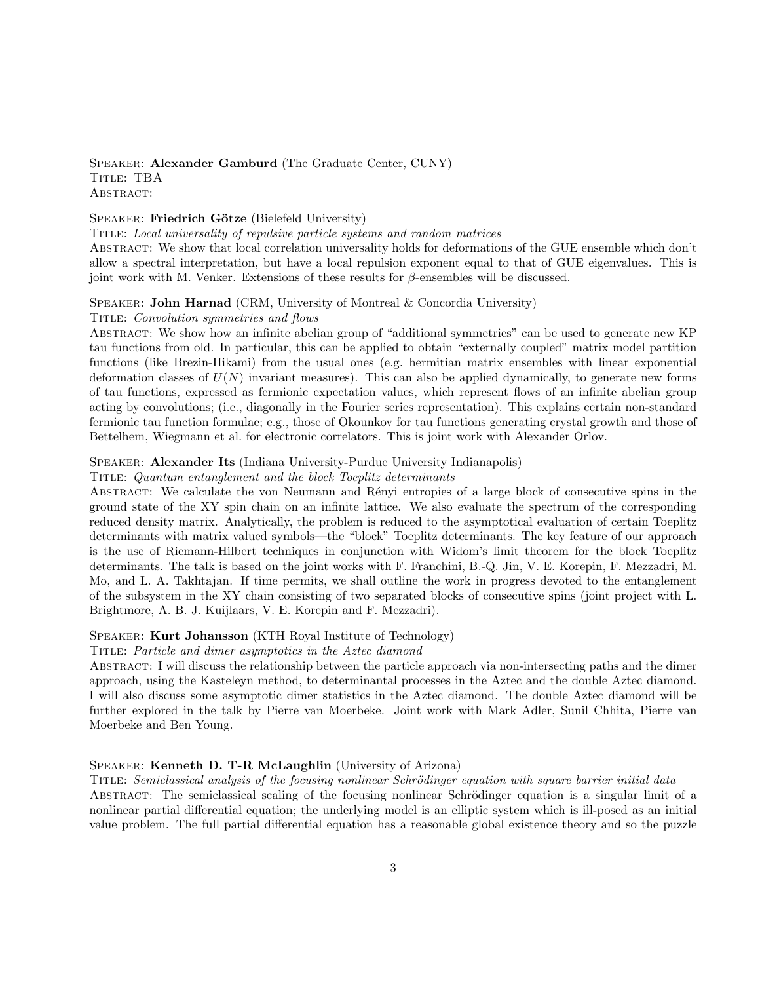Speaker: Alexander Gamburd (The Graduate Center, CUNY) TITLE: TBA ABSTRACT:

## SPEAKER: Friedrich Götze (Bielefeld University)

Title: Local universality of repulsive particle systems and random matrices

Abstract: We show that local correlation universality holds for deformations of the GUE ensemble which don't allow a spectral interpretation, but have a local repulsion exponent equal to that of GUE eigenvalues. This is joint work with M. Venker. Extensions of these results for  $\beta$ -ensembles will be discussed.

#### SPEAKER: **John Harnad** (CRM, University of Montreal  $\&$  Concordia University)

#### Title: Convolution symmetries and flows

Abstract: We show how an infinite abelian group of "additional symmetries" can be used to generate new KP tau functions from old. In particular, this can be applied to obtain "externally coupled" matrix model partition functions (like Brezin-Hikami) from the usual ones (e.g. hermitian matrix ensembles with linear exponential deformation classes of  $U(N)$  invariant measures). This can also be applied dynamically, to generate new forms of tau functions, expressed as fermionic expectation values, which represent flows of an infinite abelian group acting by convolutions; (i.e., diagonally in the Fourier series representation). This explains certain non-standard fermionic tau function formulae; e.g., those of Okounkov for tau functions generating crystal growth and those of Bettelhem, Wiegmann et al. for electronic correlators. This is joint work with Alexander Orlov.

#### Speaker: Alexander Its (Indiana University-Purdue University Indianapolis)

#### Title: Quantum entanglement and the block Toeplitz determinants

ABSTRACT: We calculate the von Neumann and Rényi entropies of a large block of consecutive spins in the ground state of the XY spin chain on an infinite lattice. We also evaluate the spectrum of the corresponding reduced density matrix. Analytically, the problem is reduced to the asymptotical evaluation of certain Toeplitz determinants with matrix valued symbols—the "block" Toeplitz determinants. The key feature of our approach is the use of Riemann-Hilbert techniques in conjunction with Widom's limit theorem for the block Toeplitz determinants. The talk is based on the joint works with F. Franchini, B.-Q. Jin, V. E. Korepin, F. Mezzadri, M. Mo, and L. A. Takhtajan. If time permits, we shall outline the work in progress devoted to the entanglement of the subsystem in the XY chain consisting of two separated blocks of consecutive spins (joint project with L. Brightmore, A. B. J. Kuijlaars, V. E. Korepin and F. Mezzadri).

## Speaker: Kurt Johansson (KTH Royal Institute of Technology)

#### TITLE: Particle and dimer asymptotics in the Aztec diamond

Abstract: I will discuss the relationship between the particle approach via non-intersecting paths and the dimer approach, using the Kasteleyn method, to determinantal processes in the Aztec and the double Aztec diamond. I will also discuss some asymptotic dimer statistics in the Aztec diamond. The double Aztec diamond will be further explored in the talk by Pierre van Moerbeke. Joint work with Mark Adler, Sunil Chhita, Pierre van Moerbeke and Ben Young.

#### Speaker: Kenneth D. T-R McLaughlin (University of Arizona)

TITLE: Semiclassical analysis of the focusing nonlinear Schrödinger equation with square barrier initial data ABSTRACT: The semiclassical scaling of the focusing nonlinear Schrödinger equation is a singular limit of a nonlinear partial differential equation; the underlying model is an elliptic system which is ill-posed as an initial value problem. The full partial differential equation has a reasonable global existence theory and so the puzzle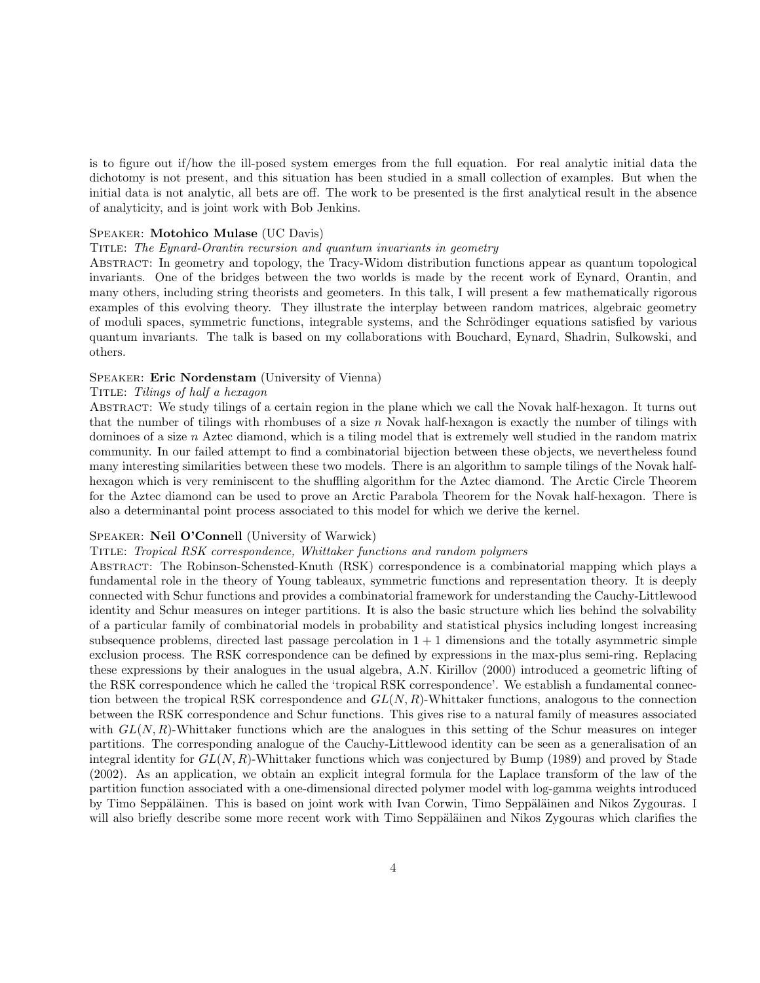is to figure out if/how the ill-posed system emerges from the full equation. For real analytic initial data the dichotomy is not present, and this situation has been studied in a small collection of examples. But when the initial data is not analytic, all bets are off. The work to be presented is the first analytical result in the absence of analyticity, and is joint work with Bob Jenkins.

#### Speaker: Motohico Mulase (UC Davis)

#### Title: The Eynard-Orantin recursion and quantum invariants in geometry

Abstract: In geometry and topology, the Tracy-Widom distribution functions appear as quantum topological invariants. One of the bridges between the two worlds is made by the recent work of Eynard, Orantin, and many others, including string theorists and geometers. In this talk, I will present a few mathematically rigorous examples of this evolving theory. They illustrate the interplay between random matrices, algebraic geometry of moduli spaces, symmetric functions, integrable systems, and the Schrödinger equations satisfied by various quantum invariants. The talk is based on my collaborations with Bouchard, Eynard, Shadrin, Sulkowski, and others.

#### Speaker: Eric Nordenstam (University of Vienna)

#### TITLE: Tilings of half a hexagon

Abstract: We study tilings of a certain region in the plane which we call the Novak half-hexagon. It turns out that the number of tilings with rhombuses of a size  $n$  Novak half-hexagon is exactly the number of tilings with dominoes of a size n Aztec diamond, which is a tiling model that is extremely well studied in the random matrix community. In our failed attempt to find a combinatorial bijection between these objects, we nevertheless found many interesting similarities between these two models. There is an algorithm to sample tilings of the Novak halfhexagon which is very reminiscent to the shuffling algorithm for the Aztec diamond. The Arctic Circle Theorem for the Aztec diamond can be used to prove an Arctic Parabola Theorem for the Novak half-hexagon. There is also a determinantal point process associated to this model for which we derive the kernel.

#### Speaker: Neil O'Connell (University of Warwick)

## Title: Tropical RSK correspondence, Whittaker functions and random polymers

Abstract: The Robinson-Schensted-Knuth (RSK) correspondence is a combinatorial mapping which plays a fundamental role in the theory of Young tableaux, symmetric functions and representation theory. It is deeply connected with Schur functions and provides a combinatorial framework for understanding the Cauchy-Littlewood identity and Schur measures on integer partitions. It is also the basic structure which lies behind the solvability of a particular family of combinatorial models in probability and statistical physics including longest increasing subsequence problems, directed last passage percolation in  $1 + 1$  dimensions and the totally asymmetric simple exclusion process. The RSK correspondence can be defined by expressions in the max-plus semi-ring. Replacing these expressions by their analogues in the usual algebra, A.N. Kirillov (2000) introduced a geometric lifting of the RSK correspondence which he called the 'tropical RSK correspondence'. We establish a fundamental connection between the tropical RSK correspondence and  $GL(N, R)$ -Whittaker functions, analogous to the connection between the RSK correspondence and Schur functions. This gives rise to a natural family of measures associated with  $GL(N, R)$ -Whittaker functions which are the analogues in this setting of the Schur measures on integer partitions. The corresponding analogue of the Cauchy-Littlewood identity can be seen as a generalisation of an integral identity for  $GL(N, R)$ -Whittaker functions which was conjectured by Bump (1989) and proved by Stade (2002). As an application, we obtain an explicit integral formula for the Laplace transform of the law of the partition function associated with a one-dimensional directed polymer model with log-gamma weights introduced by Timo Seppäläinen. This is based on joint work with Ivan Corwin, Timo Seppäläinen and Nikos Zygouras. I will also briefly describe some more recent work with Timo Seppäläinen and Nikos Zygouras which clarifies the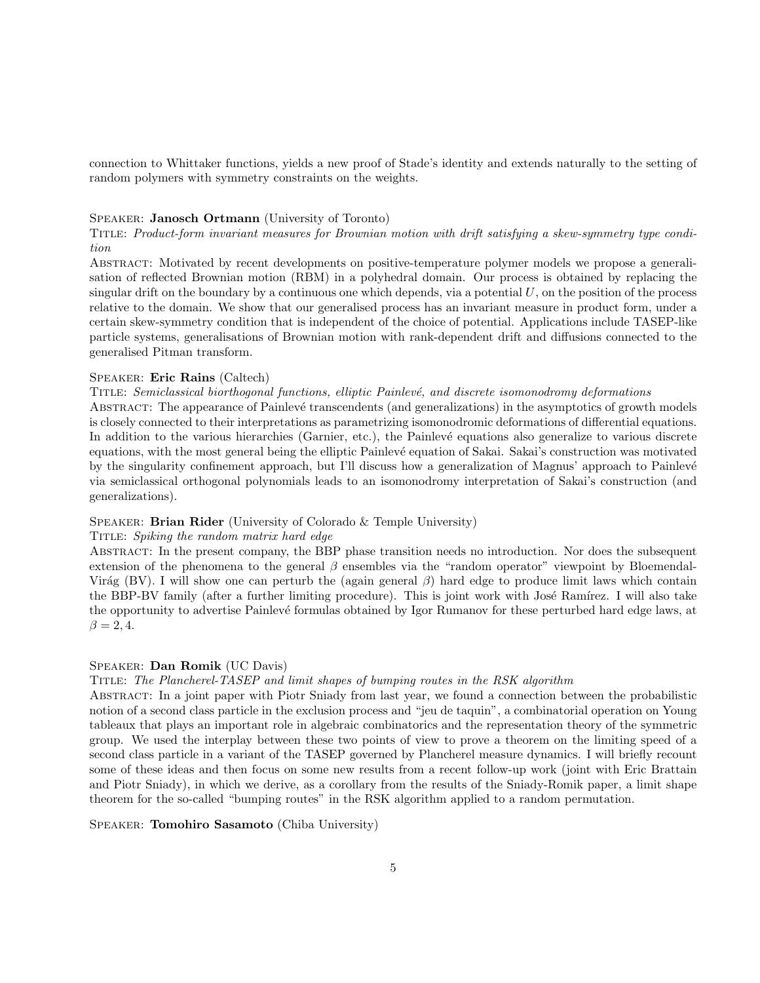connection to Whittaker functions, yields a new proof of Stade's identity and extends naturally to the setting of random polymers with symmetry constraints on the weights.

## Speaker: Janosch Ortmann (University of Toronto)

Title: Product-form invariant measures for Brownian motion with drift satisfying a skew-symmetry type condition

Abstract: Motivated by recent developments on positive-temperature polymer models we propose a generalisation of reflected Brownian motion (RBM) in a polyhedral domain. Our process is obtained by replacing the singular drift on the boundary by a continuous one which depends, via a potential  $U$ , on the position of the process relative to the domain. We show that our generalised process has an invariant measure in product form, under a certain skew-symmetry condition that is independent of the choice of potential. Applications include TASEP-like particle systems, generalisations of Brownian motion with rank-dependent drift and diffusions connected to the generalised Pitman transform.

#### Speaker: Eric Rains (Caltech)

TITLE: Semiclassical biorthogonal functions, elliptic Painlevé, and discrete isomonodromy deformations

ABSTRACT: The appearance of Painlevé transcendents (and generalizations) in the asymptotics of growth models is closely connected to their interpretations as parametrizing isomonodromic deformations of differential equations. In addition to the various hierarchies (Garnier, etc.), the Painlevé equations also generalize to various discrete equations, with the most general being the elliptic Painlevé equation of Sakai. Sakai's construction was motivated by the singularity confinement approach, but I'll discuss how a generalization of Magnus' approach to Painlevé via semiclassical orthogonal polynomials leads to an isomonodromy interpretation of Sakai's construction (and generalizations).

#### SPEAKER: Brian Rider (University of Colorado & Temple University)

#### Title: Spiking the random matrix hard edge

Abstract: In the present company, the BBP phase transition needs no introduction. Nor does the subsequent extension of the phenomena to the general  $\beta$  ensembles via the "random operator" viewpoint by Bloemendal-Virág (BV). I will show one can perturb the (again general  $\beta$ ) hard edge to produce limit laws which contain the BBP-BV family (after a further limiting procedure). This is joint work with José Ramírez. I will also take the opportunity to advertise Painlevé formulas obtained by Igor Rumanov for these perturbed hard edge laws, at  $\beta = 2, 4.$ 

## Speaker: Dan Romik (UC Davis)

#### Title: The Plancherel-TASEP and limit shapes of bumping routes in the RSK algorithm

Abstract: In a joint paper with Piotr Sniady from last year, we found a connection between the probabilistic notion of a second class particle in the exclusion process and "jeu de taquin", a combinatorial operation on Young tableaux that plays an important role in algebraic combinatorics and the representation theory of the symmetric group. We used the interplay between these two points of view to prove a theorem on the limiting speed of a second class particle in a variant of the TASEP governed by Plancherel measure dynamics. I will briefly recount some of these ideas and then focus on some new results from a recent follow-up work (joint with Eric Brattain and Piotr Sniady), in which we derive, as a corollary from the results of the Sniady-Romik paper, a limit shape theorem for the so-called "bumping routes" in the RSK algorithm applied to a random permutation.

Speaker: Tomohiro Sasamoto (Chiba University)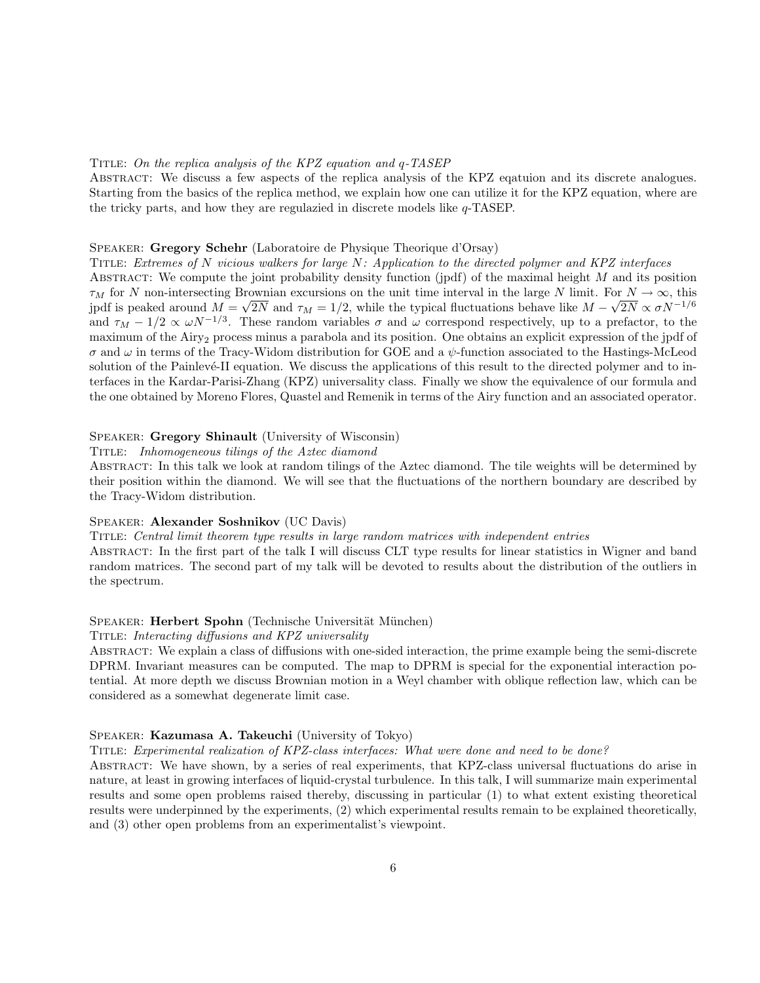#### Title: On the replica analysis of the KPZ equation and q-TASEP

Abstract: We discuss a few aspects of the replica analysis of the KPZ eqatuion and its discrete analogues. Starting from the basics of the replica method, we explain how one can utilize it for the KPZ equation, where are the tricky parts, and how they are regulazied in discrete models like q-TASEP.

#### Speaker: Gregory Schehr (Laboratoire de Physique Theorique d'Orsay)

Title: Extremes of N vicious walkers for large N: Application to the directed polymer and KPZ interfaces ABSTRACT: We compute the joint probability density function (jpdf) of the maximal height  $M$  and its position  $\tau_M$  for N non-intersecting Brownian excursions on the unit time interval in the large N limit. For  $N \to \infty$ , this jpdf is peaked around  $M = \sqrt{2N}$  and  $\tau_M = 1/2$ , while the typical fluctuations behave like  $M - \sqrt{2N} \propto \sigma N^{-1/6}$ and  $\tau_M - 1/2 \propto \omega N^{-1/3}$ . These random variables  $\sigma$  and  $\omega$  correspond respectively, up to a prefactor, to the maximum of the Airy<sub>2</sub> process minus a parabola and its position. One obtains an explicit expression of the jpdf of σ and ω in terms of the Tracy-Widom distribution for GOE and a ψ-function associated to the Hastings-McLeod solution of the Painlevé-II equation. We discuss the applications of this result to the directed polymer and to interfaces in the Kardar-Parisi-Zhang (KPZ) universality class. Finally we show the equivalence of our formula and the one obtained by Moreno Flores, Quastel and Remenik in terms of the Airy function and an associated operator.

## Speaker: Gregory Shinault (University of Wisconsin)

#### TITLE: Inhomogeneous tilings of the Aztec diamond

Abstract: In this talk we look at random tilings of the Aztec diamond. The tile weights will be determined by their position within the diamond. We will see that the fluctuations of the northern boundary are described by the Tracy-Widom distribution.

## Speaker: Alexander Soshnikov (UC Davis)

## Title: Central limit theorem type results in large random matrices with independent entries Abstract: In the first part of the talk I will discuss CLT type results for linear statistics in Wigner and band random matrices. The second part of my talk will be devoted to results about the distribution of the outliers in

the spectrum.

#### SPEAKER: Herbert Spohn (Technische Universität München)

#### TITLE: Interacting diffusions and KPZ universality

Abstract: We explain a class of diffusions with one-sided interaction, the prime example being the semi-discrete DPRM. Invariant measures can be computed. The map to DPRM is special for the exponential interaction potential. At more depth we discuss Brownian motion in a Weyl chamber with oblique reflection law, which can be considered as a somewhat degenerate limit case.

## Speaker: Kazumasa A. Takeuchi (University of Tokyo)

#### Title: Experimental realization of KPZ-class interfaces: What were done and need to be done?

Abstract: We have shown, by a series of real experiments, that KPZ-class universal fluctuations do arise in nature, at least in growing interfaces of liquid-crystal turbulence. In this talk, I will summarize main experimental results and some open problems raised thereby, discussing in particular (1) to what extent existing theoretical results were underpinned by the experiments, (2) which experimental results remain to be explained theoretically, and (3) other open problems from an experimentalist's viewpoint.